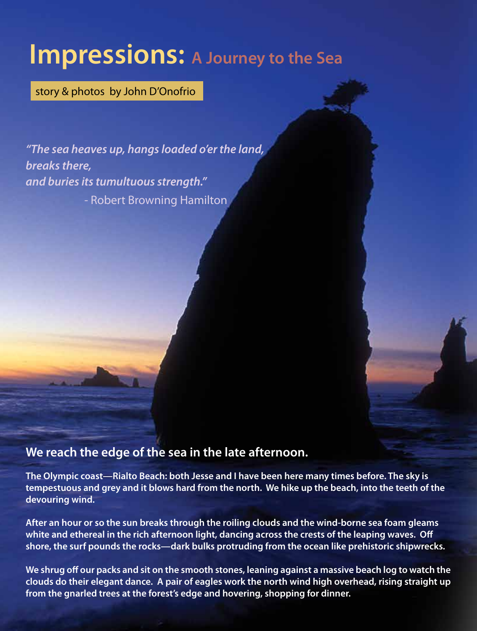## **Impressions: A Journey to the Sea**

story & photos by John D'Onofrio

*"The sea heaves up, hangs loaded o'er the land, breaks there, and buries its tumultuous strength."* - Robert Browning Hamilton

## **We reach the edge of the sea in the late afternoon.**

**The Olympic coast—Rialto Beach: both Jesse and I have been here many times before. The sky is tempestuous and grey and it blows hard from the north. We hike up the beach, into the teeth of the devouring wind.**

**After an hour or so the sun breaks through the roiling clouds and the wind-borne sea foam gleams white and ethereal in the rich afternoon light, dancing across the crests of the leaping waves. Off shore, the surf pounds the rocks—dark bulks protruding from the ocean like prehistoric shipwrecks.**

**We shrug off our packs and sit on the smooth stones, leaning against a massive beach log to watch the clouds do their elegant dance. A pair of eagles work the north wind high overhead, rising straight up from the gnarled trees at the forest's edge and hovering, shopping for dinner.**